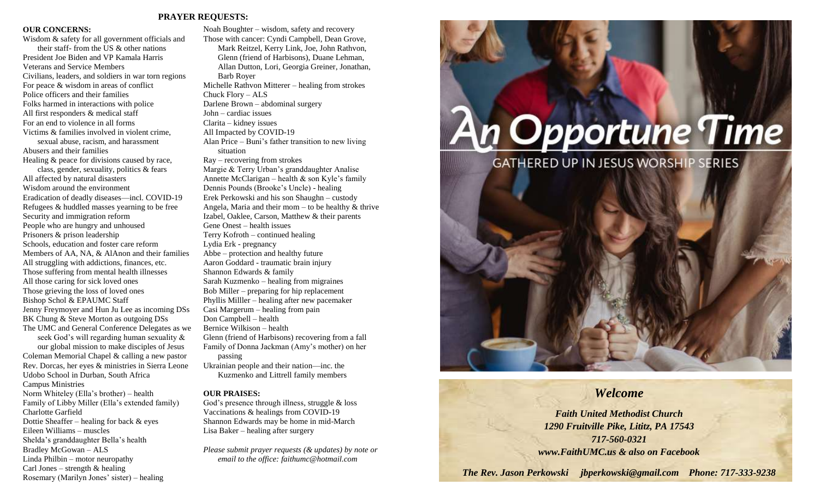#### **PRAYER REQUESTS:**

#### **OUR CONCERNS:**

Wisdom & safety for all government officials and their staff- from the US & other nations President Joe Biden and VP Kamala Harris Veterans and Service Members Civilians, leaders, and soldiers in war torn regions For peace & wisdom in areas of conflict Police officers and their families Folks harmed in interactions with police All first responders & medical staff For an end to violence in all forms Victims & families involved in violent crime, sexual abuse, racism, and harassment Abusers and their families Healing & peace for divisions caused by race, class, gender, sexuality, politics & fears All affected by natural disasters Wisdom around the environment Eradication of deadly diseases—incl. COVID-19 Refugees & huddled masses yearning to be free Security and immigration reform People who are hungry and unhoused Prisoners & prison leadership Schools, education and foster care reform Members of AA, NA, & AlAnon and their families All struggling with addictions, finances, etc. Those suffering from mental health illnesses All those caring for sick loved ones Those grieving the loss of loved ones Bishop Schol & EPAUMC Staff Jenny Freymoyer and Hun Ju Lee as incoming DSs BK Chung & Steve Morton as outgoing DSs The UMC and General Conference Delegates as we seek God's will regarding human sexuality & our global mission to make disciples of Jesus Coleman Memorial Chapel & calling a new pastor Rev. Dorcas, her eyes & ministries in Sierra Leone Udobo School in Durban, South Africa Campus Ministries Norm Whiteley (Ella's brother) – health Family of Libby Miller (Ella's extended family) Charlotte Garfield Dottie Sheaffer – healing for back & eyes Eileen Williams – muscles Shelda's granddaughter Bella's health Bradley McGowan – ALS

Linda Philbin – motor neuropathy Carl Jones – strength  $&$  healing

Rosemary (Marilyn Jones' sister) – healing

Noah Boughter – wisdom, safety and recovery Those with cancer: Cyndi Campbell, Dean Grove, Mark Reitzel, Kerry Link, Joe, John Rathvon, Glenn (friend of Harbisons), Duane Lehman, Allan Dutton, Lori, Georgia Greiner, Jonathan, Barb Royer Michelle Rathvon Mitterer – healing from strokes Chuck Flory – ALS Darlene Brown – abdominal surgery John – cardiac issues Clarita – kidney issues All Impacted by COVID-19 Alan Price – Buni's father transition to new living situation Ray – recovering from strokes Margie & Terry Urban's granddaughter Analise Annette McClarigan – health  $\&$  son Kyle's family Dennis Pounds (Brooke's Uncle) - healing Erek Perkowski and his son Shaughn – custody Angela, Maria and their mom – to be healthy  $&$  thrive Izabel, Oaklee, Carson, Matthew & their parents Gene Onest – health issues Terry Kofroth – continued healing Lydia Erk - pregnancy Abbe – protection and healthy future Aaron Goddard - traumatic brain injury Shannon Edwards & family Sarah Kuzmenko – healing from migraines Bob Miller – preparing for hip replacement Phyllis Milller – healing after new pacemaker Casi Margerum – healing from pain Don Campbell – health Bernice Wilkison – health Glenn (friend of Harbisons) recovering from a fall Family of Donna Jackman (Amy's mother) on her

passing Ukrainian people and their nation—inc. the Kuzmenko and Littrell family members

#### **OUR PRAISES:**

God's presence through illness, struggle & loss Vaccinations & healings from COVID-19 Shannon Edwards may be home in mid-March Lisa Baker – healing after surgery

*Please submit prayer requests (& updates) by note or email to the office: faithumc@hotmail.com*

# **An Opportune Time**

**GATHERED UP IN JESUS WORSHIP SERIES** 



### *Welcome*

*Faith United Methodist Church 1290 Fruitville Pike, Lititz, PA 17543 717-560-0321 www.FaithUMC.us & also on Facebook*

*The Rev. Jason Perkowski jbperkowski@gmail.com Phone: 717-333-9238*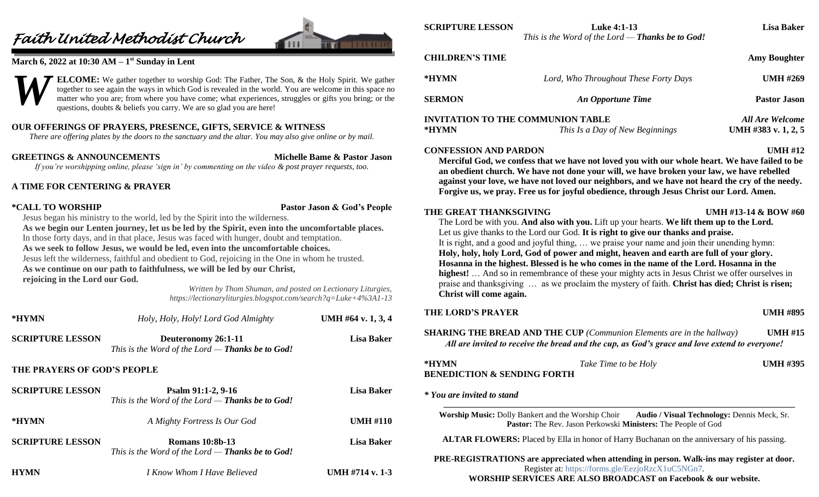## *Faith United Methodist Church*



#### **March 6, 2022 at 10:30 AM – 1 st Sunday in Lent**



#### **OUR OFFERINGS OF PRAYERS, PRESENCE, GIFTS, SERVICE & WITNESS**

*There are offering plates by the doors to the sanctuary and the altar. You may also give online or by mail.*

**GREETINGS & ANNOUNCEMENTS Michelle Bame & Pastor Jason** *If you're worshipping online, please 'sign in' by commenting on the video & post prayer requests, too.*

#### **A TIME FOR CENTERING & PRAYER**

#### **\*CALL TO WORSHIP Pastor Jason & God's People**

Jesus began his ministry to the world, led by the Spirit into the wilderness. **As we begin our Lenten journey, let us be led by the Spirit, even into the uncomfortable places.** In those forty days, and in that place, Jesus was faced with hunger, doubt and temptation. **As we seek to follow Jesus, we would be led, even into the uncomfortable choices.** Jesus left the wilderness, faithful and obedient to God, rejoicing in the One in whom he trusted. **As we continue on our path to faithfulness, we will be led by our Christ, rejoicing in the Lord our God.**

> *Written by Thom Shuman, and posted on Lectionary Liturgies, https://lectionaryliturgies.blogspot.com/search?q=Luke+4%3A1-13*

| *HYMN                       | Holy, Holy, Holy! Lord God Almighty                                          | UMH #64 v. $1, 3, 4$ |
|-----------------------------|------------------------------------------------------------------------------|----------------------|
| <b>SCRIPTURE LESSON</b>     | Deuteronomy 26:1-11<br>This is the Word of the Lord $-$ Thanks be to God!    | <b>Lisa Baker</b>    |
| THE PRAYERS OF GOD'S PEOPLE |                                                                              |                      |
| <b>SCRIPTURE LESSON</b>     | Psalm 91:1-2, 9-16<br>This is the Word of the Lord $-$ Thanks be to God!     | <b>Lisa Baker</b>    |
| *HYMN                       | A Mighty Fortress Is Our God                                                 | <b>UMH #110</b>      |
| <b>SCRIPTURE LESSON</b>     | <b>Romans 10:8b-13</b><br>This is the Word of the Lord $-$ Thanks be to God! | <b>Lisa Baker</b>    |
| HYMN                        | I Know Whom I Have Believed                                                  | UMH #714 v. 1-3      |

| *HYMN                                                  | Lord, Who Throughout These Forty Days                                                                                                                                                                                                                                                                                                                                                                                                                                                                                                                                                                                                                                        | <b>UMH #269</b>                               |
|--------------------------------------------------------|------------------------------------------------------------------------------------------------------------------------------------------------------------------------------------------------------------------------------------------------------------------------------------------------------------------------------------------------------------------------------------------------------------------------------------------------------------------------------------------------------------------------------------------------------------------------------------------------------------------------------------------------------------------------------|-----------------------------------------------|
| <b>SERMON</b>                                          | An Opportune Time                                                                                                                                                                                                                                                                                                                                                                                                                                                                                                                                                                                                                                                            | <b>Pastor Jason</b>                           |
| *HYMN                                                  | <b>INVITATION TO THE COMMUNION TABLE</b><br>This Is a Day of New Beginnings                                                                                                                                                                                                                                                                                                                                                                                                                                                                                                                                                                                                  | <b>All Are Welcome</b><br>UMH #383 v. 1, 2, 5 |
| <b>CONFESSION AND PARDON</b><br>THE GREAT THANKSGIVING | Merciful God, we confess that we have not loved you with our whole heart. We have failed to be<br>an obedient church. We have not done your will, we have broken your law, we have rebelled<br>against your love, we have not loved our neighbors, and we have not heard the cry of the needy.<br>Forgive us, we pray. Free us for joyful obedience, through Jesus Christ our Lord. Amen.                                                                                                                                                                                                                                                                                    | <b>UMH #12</b><br>UMH #13-14 & BOW #60        |
|                                                        | The Lord be with you. And also with you. Lift up your hearts. We lift them up to the Lord.<br>Let us give thanks to the Lord our God. It is right to give our thanks and praise.<br>It is right, and a good and joyful thing,  we praise your name and join their unending hymn:<br>Holy, holy, holy Lord, God of power and might, heaven and earth are full of your glory.<br>Hosanna in the highest. Blessed is he who comes in the name of the Lord. Hosanna in the<br>highest!  And so in remembrance of these your mighty acts in Jesus Christ we offer ourselves in<br>praise and thanksgiving  as we proclaim the mystery of faith. Christ has died; Christ is risen; |                                               |
| Christ will come again.                                |                                                                                                                                                                                                                                                                                                                                                                                                                                                                                                                                                                                                                                                                              |                                               |
| <b>THE LORD'S PRAYER</b>                               | <b>SHARING THE BREAD AND THE CUP</b> (Communion Elements are in the hallway)<br>All are invited to receive the bread and the cup, as God's grace and love extend to everyone!                                                                                                                                                                                                                                                                                                                                                                                                                                                                                                | <b>UMH #895</b><br><b>UMH #15</b>             |
| *HYMN<br><b>BENEDICTION &amp; SENDING FORTH</b>        | Take Time to be Holy                                                                                                                                                                                                                                                                                                                                                                                                                                                                                                                                                                                                                                                         | <b>UMH #395</b>                               |

**PRE-REGISTRATIONS are appreciated when attending in person. Walk-ins may register at door.**  Register at:<https://forms.gle/EezjoRzcX1uC5NGn7>*.*

**WORSHIP SERVICES ARE ALSO BROADCAST on Facebook & our website.**

**SCRIPTURE LESSON Luke 4:1-13 Lisa Baker**

*This is the Word of the Lord — Thanks be to God!*